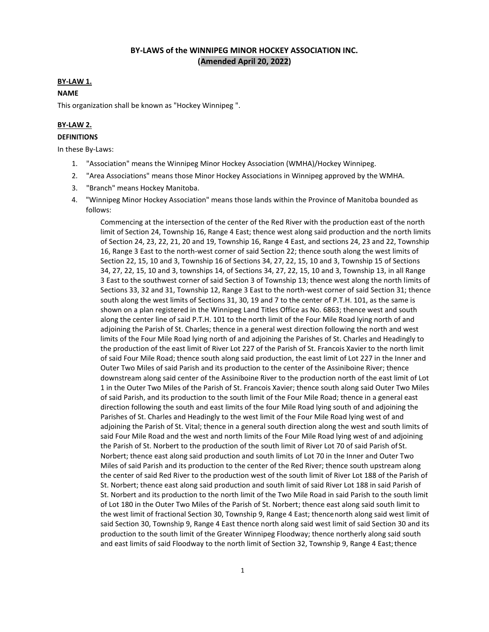# **BY-LAWS of the WINNIPEG MINOR HOCKEY ASSOCIATION INC. (Amended April 20, 2022)**

#### **BY-LAW 1.**

### **NAME**

This organization shall be known as "Hockey Winnipeg ".

#### **BY-LAW 2.**

#### **DEFINITIONS**

In these By-Laws:

- 1. "Association" means the Winnipeg Minor Hockey Association (WMHA)/Hockey Winnipeg.
- 2. "Area Associations" means those Minor Hockey Associations in Winnipeg approved by the WMHA.
- 3. "Branch" means Hockey Manitoba.
- 4. "Winnipeg Minor Hockey Association" means those lands within the Province of Manitoba bounded as follows:

Commencing at the intersection of the center of the Red River with the production east of the north limit of Section 24, Township 16, Range 4 East; thence west along said production and the north limits of Section 24, 23, 22, 21, 20 and 19, Township 16, Range 4 East, and sections 24, 23 and 22, Township 16, Range 3 East to the north-west corner of said Section 22; thence south along the west limits of Section 22, 15, 10 and 3, Township 16 of Sections 34, 27, 22, 15, 10 and 3, Township 15 of Sections 34, 27, 22, 15, 10 and 3, townships 14, of Sections 34, 27, 22, 15, 10 and 3, Township 13, in all Range 3 East to the southwest corner of said Section 3 of Township 13; thence west along the north limits of Sections 33, 32 and 31, Township 12, Range 3 East to the north-west corner of said Section 31; thence south along the west limits of Sections 31, 30, 19 and 7 to the center of P.T.H. 101, as the same is shown on a plan registered in the Winnipeg Land Titles Office as No. 6863; thence west and south along the center line of said P.T.H. 101 to the north limit of the Four Mile Road lying north of and adjoining the Parish of St. Charles; thence in a general west direction following the north and west limits of the Four Mile Road lying north of and adjoining the Parishes of St. Charles and Headingly to the production of the east limit of River Lot 227 of the Parish of St. Francois Xavier to the north limit of said Four Mile Road; thence south along said production, the east limit of Lot 227 in the Inner and Outer Two Miles of said Parish and its production to the center of the Assiniboine River; thence downstream along said center of the Assiniboine River to the production north of the east limit of Lot 1 in the Outer Two Miles of the Parish of St. Francois Xavier; thence south along said Outer Two Miles of said Parish, and its production to the south limit of the Four Mile Road; thence in a general east direction following the south and east limits of the four Mile Road lying south of and adjoining the Parishes of St. Charles and Headingly to the west limit of the Four Mile Road lying west of and adjoining the Parish of St. Vital; thence in a general south direction along the west and south limits of said Four Mile Road and the west and north limits of the Four Mile Road lying west of and adjoining the Parish of St. Norbert to the production of the south limit of River Lot 70 of said Parish of St. Norbert; thence east along said production and south limits of Lot 70 in the Inner and Outer Two Miles of said Parish and its production to the center of the Red River; thence south upstream along the center of said Red River to the production west of the south limit of River Lot 188 of the Parish of St. Norbert; thence east along said production and south limit of said River Lot 188 in said Parish of St. Norbert and its production to the north limit of the Two Mile Road in said Parish to the south limit of Lot 180 in the Outer Two Miles of the Parish of St. Norbert; thence east along said south limit to the west limit of fractional Section 30, Township 9, Range 4 East; thencenorth along said west limit of said Section 30, Township 9, Range 4 East thence north along said west limit of said Section 30 and its production to the south limit of the Greater Winnipeg Floodway; thence northerly along said south and east limits of said Floodway to the north limit of Section 32, Township 9, Range 4 East; thence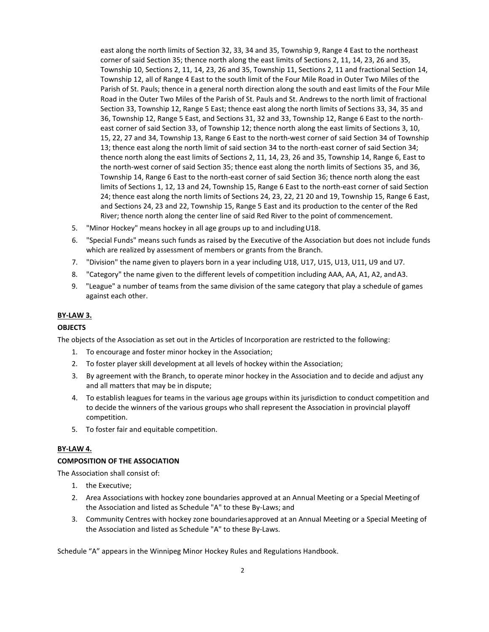east along the north limits of Section 32, 33, 34 and 35, Township 9, Range 4 East to the northeast corner of said Section 35; thence north along the east limits of Sections 2, 11, 14, 23, 26 and 35, Township 10, Sections 2, 11, 14, 23, 26 and 35, Township 11, Sections 2, 11 and fractional Section 14, Township 12, all of Range 4 East to the south limit of the Four Mile Road in Outer Two Miles of the Parish of St. Pauls; thence in a general north direction along the south and east limits of the Four Mile Road in the Outer Two Miles of the Parish of St. Pauls and St. Andrews to the north limit of fractional Section 33, Township 12, Range 5 East; thence east along the north limits of Sections 33, 34, 35 and 36, Township 12, Range 5 East, and Sections 31, 32 and 33, Township 12, Range 6 East to the northeast corner of said Section 33, of Township 12; thence north along the east limits of Sections 3, 10, 15, 22, 27 and 34, Township 13, Range 6 East to the north-west corner of said Section 34 of Township 13; thence east along the north limit of said section 34 to the north-east corner of said Section 34; thence north along the east limits of Sections 2, 11, 14, 23, 26 and 35, Township 14, Range 6, East to the north-west corner of said Section 35; thence east along the north limits of Sections 35, and 36, Township 14, Range 6 East to the north-east corner of said Section 36; thence north along the east limits of Sections 1, 12, 13 and 24, Township 15, Range 6 East to the north-east corner of said Section 24; thence east along the north limits of Sections 24, 23, 22, 21 20 and 19, Township 15, Range 6 East, and Sections 24, 23 and 22, Township 15, Range 5 East and its production to the center of the Red River; thence north along the center line of said Red River to the point of commencement.

- 5. "Minor Hockey" means hockey in all age groups up to and including U18.
- 6. "Special Funds" means such funds as raised by the Executive of the Association but does not include funds which are realized by assessment of members or grants from the Branch.
- 7. "Division" the name given to players born in a year including U18, U17, U15, U13, U11, U9 and U7.
- 8. "Category" the name given to the different levels of competition including AAA, AA, A1, A2, and A3.
- 9. "League" a number of teams from the same division of the same category that play a schedule of games against each other.

### **BY-LAW 3.**

### **OBJECTS**

The objects of the Association as set out in the Articles of Incorporation are restricted to the following:

- 1. To encourage and foster minor hockey in the Association;
- 2. To foster player skill development at all levels of hockey within the Association;
- 3. By agreement with the Branch, to operate minor hockey in the Association and to decide and adjust any and all matters that may be in dispute;
- 4. To establish leagues for teams in the various age groups within its jurisdiction to conduct competition and to decide the winners of the various groups who shall represent the Association in provincial playoff competition.
- 5. To foster fair and equitable competition.

### **BY-LAW 4.**

#### **COMPOSITION OF THE ASSOCIATION**

The Association shall consist of:

- 1. the Executive;
- 2. Area Associations with hockey zone boundaries approved at an Annual Meeting or a Special Meetingof the Association and listed as Schedule "A" to these By-Laws; and
- 3. Community Centres with hockey zone boundariesapproved at an Annual Meeting or a Special Meeting of the Association and listed as Schedule "A" to these By-Laws.

Schedule "A" appears in the Winnipeg Minor Hockey Rules and Regulations Handbook.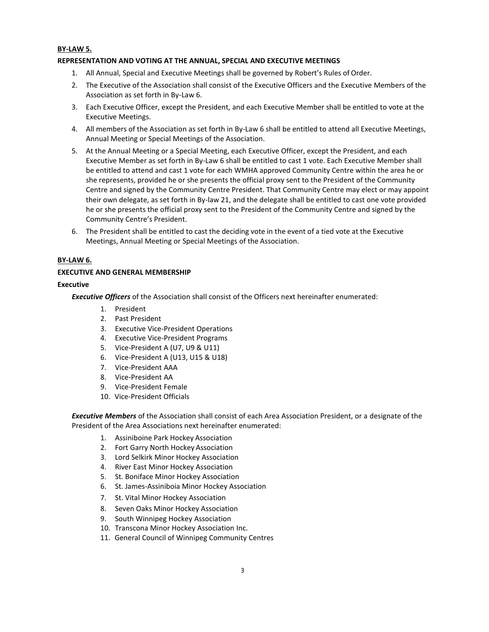### **BY-LAW 5.**

### **REPRESENTATION AND VOTING AT THE ANNUAL, SPECIAL AND EXECUTIVE MEETINGS**

- 1. All Annual, Special and Executive Meetings shall be governed by Robert's Rules of Order.
- 2. The Executive of the Association shall consist of the Executive Officers and the Executive Members of the Association as set forth in By-Law 6.
- 3. Each Executive Officer, except the President, and each Executive Member shall be entitled to vote at the Executive Meetings.
- 4. All members of the Association as set forth in By-Law 6 shall be entitled to attend all Executive Meetings, Annual Meeting or Special Meetings of the Association.
- 5. At the Annual Meeting or a Special Meeting, each Executive Officer, except the President, and each Executive Member as set forth in By-Law 6 shall be entitled to cast 1 vote. Each Executive Member shall be entitled to attend and cast 1 vote for each WMHA approved Community Centre within the area he or she represents, provided he or she presents the official proxy sent to the President of the Community Centre and signed by the Community Centre President. That Community Centre may elect or may appoint their own delegate, as set forth in By-law 21, and the delegate shall be entitled to cast one vote provided he or she presents the official proxy sent to the President of the Community Centre and signed by the Community Centre's President.
- 6. The President shall be entitled to cast the deciding vote in the event of a tied vote at the Executive Meetings, Annual Meeting or Special Meetings of the Association.

#### **BY-LAW 6.**

### **EXECUTIVE AND GENERAL MEMBERSHIP**

#### **Executive**

*Executive Officers* of the Association shall consist of the Officers next hereinafter enumerated:

- 1. President
- 2. Past President
- 3. Executive Vice-President Operations
- 4. Executive Vice-President Programs
- 5. Vice-President A (U7, U9 & U11)
- 6. Vice-President A (U13, U15 & U18)
- 7. Vice-President AAA
- 8. Vice-President AA
- 9. Vice-President Female
- 10. Vice-President Officials

*Executive Members* of the Association shall consist of each Area Association President, or a designate of the President of the Area Associations next hereinafter enumerated:

- 1. Assiniboine Park Hockey Association
- 2. Fort Garry North Hockey Association
- 3. Lord Selkirk Minor Hockey Association
- 4. River East Minor Hockey Association
- 5. St. Boniface Minor Hockey Association
- 6. St. James-Assiniboia Minor Hockey Association
- 7. St. Vital Minor Hockey Association
- 8. Seven Oaks Minor Hockey Association
- 9. South Winnipeg Hockey Association
- 10. Transcona Minor Hockey Association Inc.
- 11. General Council of Winnipeg Community Centres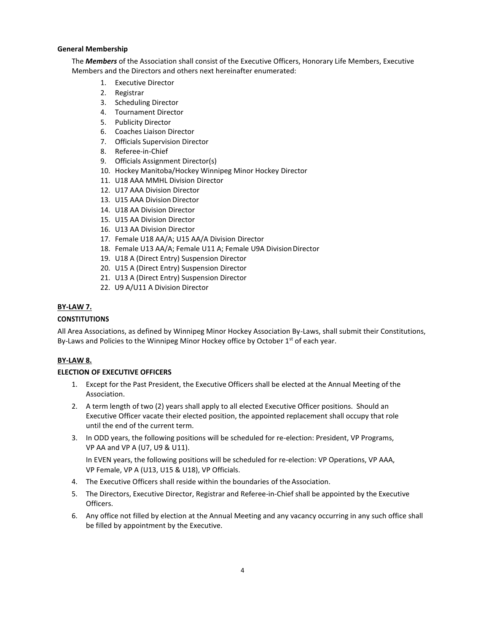### **General Membership**

The *Members* of the Association shall consist of the Executive Officers, Honorary Life Members, Executive Members and the Directors and others next hereinafter enumerated:

- 1. Executive Director
- 2. Registrar
- 3. Scheduling Director
- 4. Tournament Director
- 5. Publicity Director
- 6. Coaches Liaison Director
- 7. Officials Supervision Director
- 8. Referee-in-Chief
- 9. Officials Assignment Director(s)
- 10. Hockey Manitoba/Hockey Winnipeg Minor Hockey Director
- 11. U18 AAA MMHL Division Director
- 12. U17 AAA Division Director
- 13. U15 AAA Division Director
- 14. U18 AA Division Director
- 15. U15 AA Division Director
- 16. U13 AA Division Director
- 17. Female U18 AA/A; U15 AA/A Division Director
- 18. Female U13 AA/A; Female U11 A; Female U9A Division Director
- 19. U18 A (Direct Entry) Suspension Director
- 20. U15 A (Direct Entry) Suspension Director
- 21. U13 A (Direct Entry) Suspension Director
- 22. U9 A/U11 A Division Director

## **BY-LAW 7.**

## **CONSTITUTIONS**

All Area Associations, as defined by Winnipeg Minor Hockey Association By-Laws, shall submit their Constitutions, By-Laws and Policies to the Winnipeg Minor Hockey office by October  $1<sup>st</sup>$  of each year.

# **BY-LAW 8.**

### **ELECTION OF EXECUTIVE OFFICERS**

- 1. Except for the Past President, the Executive Officers shall be elected at the Annual Meeting of the Association.
- 2. A term length of two (2) years shall apply to all elected Executive Officer positions. Should an Executive Officer vacate their elected position, the appointed replacement shall occupy that role until the end of the current term.
- 3. In ODD years, the following positions will be scheduled for re-election: President, VP Programs, VP AA and VP A (U7, U9 & U11).

In EVEN years, the following positions will be scheduled for re-election: VP Operations, VP AAA, VP Female, VP A (U13, U15 & U18), VP Officials.

- 4. The Executive Officers shall reside within the boundaries of the Association.
- 5. The Directors, Executive Director, Registrar and Referee-in-Chief shall be appointed by the Executive Officers.
- 6. Any office not filled by election at the Annual Meeting and any vacancy occurring in any such office shall be filled by appointment by the Executive.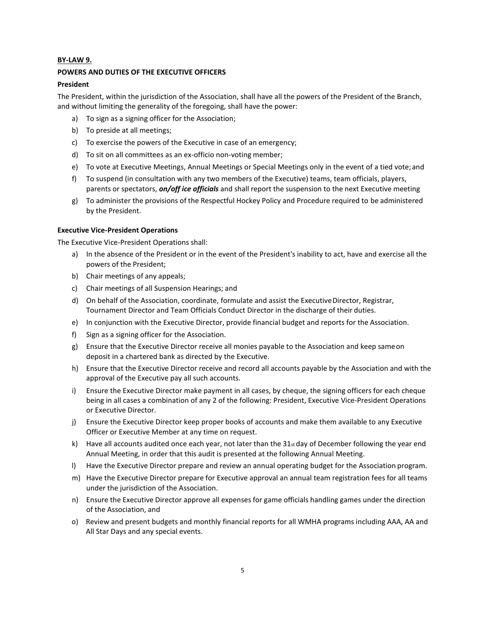### **BY-LAW 9.**

#### **POWERS AND DUTIES OF THE EXECUTIVE OFFICERS**

### **President**

The President, within the jurisdiction of the Association, shall have all the powers of the President of the Branch, and without limiting the generality of the foregoing, shall have the power:

- a) To sign as a signing officer for the Association;
- b) To preside at all meetings;
- c) To exercise the powers of the Executive in case of an emergency;
- d) To sit on all committees as an ex-officio non-voting member;
- e) To vote at Executive Meetings, Annual Meetings or Special Meetings only in the event of a tied vote; and
- f) To suspend (in consultation with any two members of the Executive) teams, team officials, players, parents or spectators, *on/off ice officials* and shall report the suspension to the next Executive meeting
- g) To administer the provisions of the Respectful Hockey Policy and Procedure required to be administered by the President.

#### **Executive Vice-President Operations**

The Executive Vice-President Operations shall:

- a) In the absence of the President or in the event of the President's inability to act, have and exercise all the powers of the President;
- b) Chair meetings of any appeals;
- c) Chair meetings of all Suspension Hearings; and
- d) On behalf of the Association, coordinate, formulate and assist the Executive Director, Registrar, Tournament Director and Team Officials Conduct Director in the discharge of their duties.
- e) In conjunction with the Executive Director, provide financial budget and reports for the Association.
- f) Sign as a signing officer for the Association.
- g) Ensure that the Executive Director receive all monies payable to the Association and keep sameon deposit in a chartered bank as directed by the Executive.
- h) Ensure that the Executive Director receive and record all accounts payable by the Association and with the approval of the Executive pay all such accounts.
- i) Ensure the Executive Director make payment in all cases, by cheque, the signing officers for each cheque being in all cases a combination of any 2 of the following: President, Executive Vice-President Operations or Executive Director.
- j) Ensure the Executive Director keep proper books of accounts and make them available to any Executive Officer or Executive Member at any time on request.
- k) Have all accounts audited once each year, not later than the  $31<sub>st</sub>$  day of December following the year end Annual Meeting, in order that this audit is presented at the following Annual Meeting.
- l) Have the Executive Director prepare and review an annual operating budget for the Association program.
- m) Have the Executive Director prepare for Executive approval an annual team registration fees for all teams under the jurisdiction of the Association.
- n) Ensure the Executive Director approve all expenses for game officials handling games under the direction of the Association, and
- o) Review and present budgets and monthly financial reports for all WMHA programs including AAA, AA and All Star Days and any special events.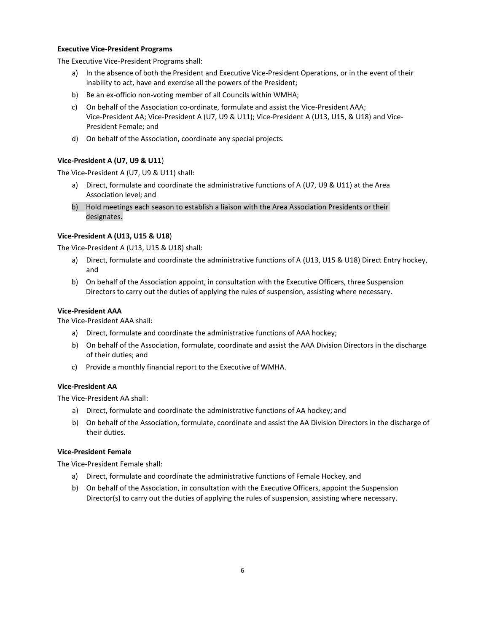### **Executive Vice-President Programs**

The Executive Vice-President Programs shall:

- a) In the absence of both the President and Executive Vice-President Operations, or in the event of their inability to act, have and exercise all the powers of the President;
- b) Be an ex-officio non-voting member of all Councils within WMHA;
- c) On behalf of the Association co-ordinate, formulate and assist the Vice-President AAA; Vice-President AA; Vice-President A (U7, U9 & U11); Vice-President A (U13, U15, & U18) and Vice-President Female; and
- d) On behalf of the Association, coordinate any special projects.

### **Vice-President A (U7, U9 & U11**)

The Vice-President A (U7, U9 & U11) shall:

- a) Direct, formulate and coordinate the administrative functions of A (U7, U9 & U11) at the Area Association level; and
- b) Hold meetings each season to establish a liaison with the Area Association Presidents or their designates.

### **Vice-President A (U13, U15 & U18**)

The Vice-President A (U13, U15 & U18) shall:

- a) Direct, formulate and coordinate the administrative functions of A (U13, U15 & U18) Direct Entry hockey, and
- b) On behalf of the Association appoint, in consultation with the Executive Officers, three Suspension Directors to carry out the duties of applying the rules of suspension, assisting where necessary.

### **Vice-President AAA**

The Vice-President AAA shall:

- a) Direct, formulate and coordinate the administrative functions of AAA hockey;
- b) On behalf of the Association, formulate, coordinate and assist the AAA Division Directors in the discharge of their duties; and
- c) Provide a monthly financial report to the Executive of WMHA.

# **Vice-President AA**

The Vice-President AA shall:

- a) Direct, formulate and coordinate the administrative functions of AA hockey; and
- b) On behalf of the Association, formulate, coordinate and assist the AA Division Directors in the discharge of their duties.

### **Vice-President Female**

The Vice-President Female shall:

- a) Direct, formulate and coordinate the administrative functions of Female Hockey, and
- b) On behalf of the Association, in consultation with the Executive Officers, appoint the Suspension Director(s) to carry out the duties of applying the rules of suspension, assisting where necessary.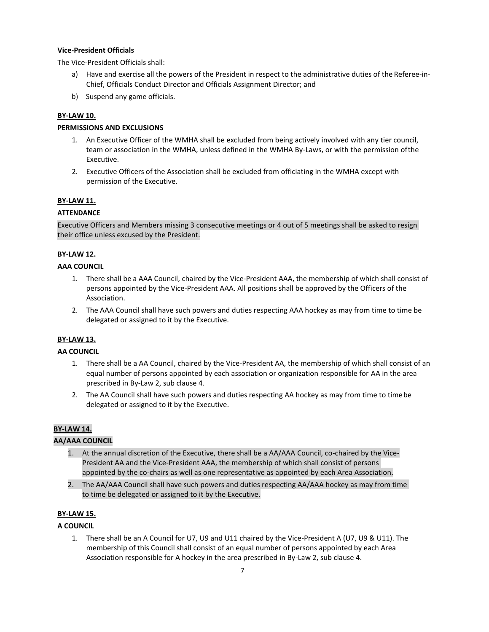### **Vice-President Officials**

The Vice-President Officials shall:

- a) Have and exercise all the powers of the President in respect to the administrative duties of the Referee-in-Chief, Officials Conduct Director and Officials Assignment Director; and
- b) Suspend any game officials.

# **BY-LAW 10.**

# **PERMISSIONS AND EXCLUSIONS**

- 1. An Executive Officer of the WMHA shall be excluded from being actively involved with any tier council, team or association in the WMHA, unless defined in the WMHA By-Laws, or with the permission ofthe Executive.
- 2. Executive Officers of the Association shall be excluded from officiating in the WMHA except with permission of the Executive.

## **BY-LAW 11.**

# **ATTENDANCE**

Executive Officers and Members missing 3 consecutive meetings or 4 out of 5 meetings shall be asked to resign their office unless excused by the President.

## **BY-LAW 12.**

## **AAA COUNCIL**

- 1. There shall be a AAA Council, chaired by the Vice-President AAA, the membership of which shall consist of persons appointed by the Vice-President AAA. All positions shall be approved by the Officers of the Association.
- 2. The AAA Council shall have such powers and duties respecting AAA hockey as may from time to time be delegated or assigned to it by the Executive.

### **BY-LAW 13.**

# **AA COUNCIL**

- 1. There shall be a AA Council, chaired by the Vice-President AA, the membership of which shall consist of an equal number of persons appointed by each association or organization responsible for AA in the area prescribed in By-Law 2, sub clause 4.
- 2. The AA Council shall have such powers and duties respecting AA hockey as may from time to timebe delegated or assigned to it by the Executive.

# **BY-LAW 14.**

# **AA/AAA COUNCIL**

- 1. At the annual discretion of the Executive, there shall be a AA/AAA Council, co-chaired by the Vice-President AA and the Vice-President AAA, the membership of which shall consist of persons appointed by the co-chairs as well as one representative as appointed by each Area Association.
- 2. The AA/AAA Council shall have such powers and duties respecting AA/AAA hockey as may from time to time be delegated or assigned to it by the Executive.

# **BY-LAW 15.**

# **A COUNCIL**

1. There shall be an A Council for U7, U9 and U11 chaired by the Vice-President A (U7, U9 & U11). The membership of this Council shall consist of an equal number of persons appointed by each Area Association responsible for A hockey in the area prescribed in By-Law 2, sub clause 4.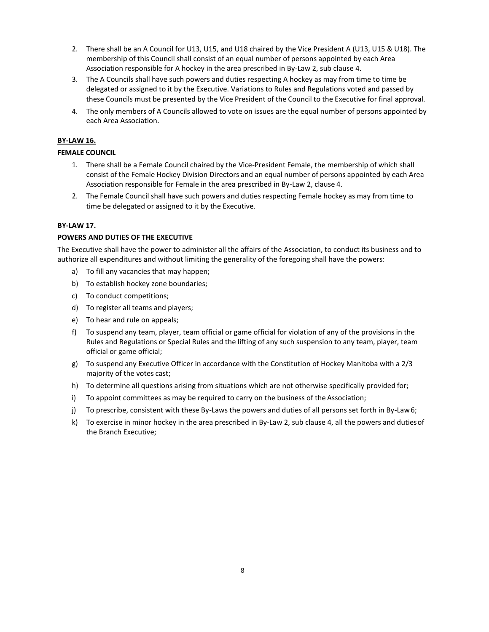- 2. There shall be an A Council for U13, U15, and U18 chaired by the Vice President A (U13, U15 & U18). The membership of this Council shall consist of an equal number of persons appointed by each Area Association responsible for A hockey in the area prescribed in By-Law 2, sub clause 4.
- 3. The A Councils shall have such powers and duties respecting A hockey as may from time to time be delegated or assigned to it by the Executive. Variations to Rules and Regulations voted and passed by these Councils must be presented by the Vice President of the Council to the Executive for final approval.
- 4. The only members of A Councils allowed to vote on issues are the equal number of persons appointed by each Area Association.

# **BY-LAW 16.**

### **FEMALE COUNCIL**

- 1. There shall be a Female Council chaired by the Vice-President Female, the membership of which shall consist of the Female Hockey Division Directors and an equal number of persons appointed by each Area Association responsible for Female in the area prescribed in By-Law 2, clause 4.
- 2. The Female Council shall have such powers and duties respecting Female hockey as may from time to time be delegated or assigned to it by the Executive.

### **BY-LAW 17.**

## **POWERS AND DUTIES OF THE EXECUTIVE**

The Executive shall have the power to administer all the affairs of the Association, to conduct its business and to authorize all expenditures and without limiting the generality of the foregoing shall have the powers:

- a) To fill any vacancies that may happen;
- b) To establish hockey zone boundaries;
- c) To conduct competitions;
- d) To register all teams and players;
- e) To hear and rule on appeals;
- f) To suspend any team, player, team official or game official for violation of any of the provisions in the Rules and Regulations or Special Rules and the lifting of any such suspension to any team, player, team official or game official;
- g) To suspend any Executive Officer in accordance with the Constitution of Hockey Manitoba with a 2/3 majority of the votes cast;
- h) To determine all questions arising from situations which are not otherwise specifically provided for;
- i) To appoint committees as may be required to carry on the business of the Association;
- j) To prescribe, consistent with these By-Laws the powers and duties of all persons set forth in By-Law6;
- k) To exercise in minor hockey in the area prescribed in By-Law 2, sub clause 4, all the powers and dutiesof the Branch Executive;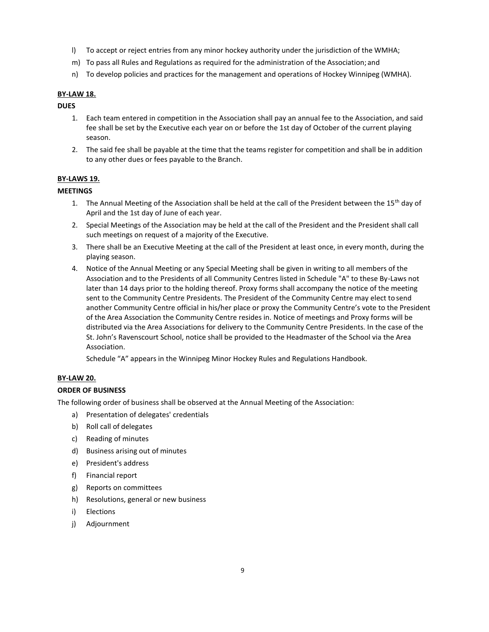- l) To accept or reject entries from any minor hockey authority under the jurisdiction of the WMHA;
- m) To pass all Rules and Regulations as required for the administration of the Association; and
- n) To develop policies and practices for the management and operations of Hockey Winnipeg (WMHA).

## **BY-LAW 18.**

# **DUES**

- 1. Each team entered in competition in the Association shall pay an annual fee to the Association, and said fee shall be set by the Executive each year on or before the 1st day of October of the current playing season.
- 2. The said fee shall be payable at the time that the teams register for competition and shall be in addition to any other dues or fees payable to the Branch.

## **BY-LAWS 19.**

## **MEETINGS**

- 1. The Annual Meeting of the Association shall be held at the call of the President between the  $15<sup>th</sup>$  day of April and the 1st day of June of each year.
- 2. Special Meetings of the Association may be held at the call of the President and the President shall call such meetings on request of a majority of the Executive.
- 3. There shall be an Executive Meeting at the call of the President at least once, in every month, during the playing season.
- 4. Notice of the Annual Meeting or any Special Meeting shall be given in writing to all members of the Association and to the Presidents of all Community Centres listed in Schedule "A" to these By-Laws not later than 14 days prior to the holding thereof. Proxy forms shall accompany the notice of the meeting sent to the Community Centre Presidents. The President of the Community Centre may elect to send another Community Centre official in his/her place or proxy the Community Centre's vote to the President of the Area Association the Community Centre resides in. Notice of meetings and Proxy forms will be distributed via the Area Associations for delivery to the Community Centre Presidents. In the case of the St. John's Ravenscourt School, notice shall be provided to the Headmaster of the School via the Area Association.

Schedule "A" appears in the Winnipeg Minor Hockey Rules and Regulations Handbook.

### **BY-LAW 20.**

### **ORDER OF BUSINESS**

The following order of business shall be observed at the Annual Meeting of the Association:

- a) Presentation of delegates' credentials
- b) Roll call of delegates
- c) Reading of minutes
- d) Business arising out of minutes
- e) President's address
- f) Financial report
- g) Reports on committees
- h) Resolutions, general or new business
- i) Elections
- j) Adjournment